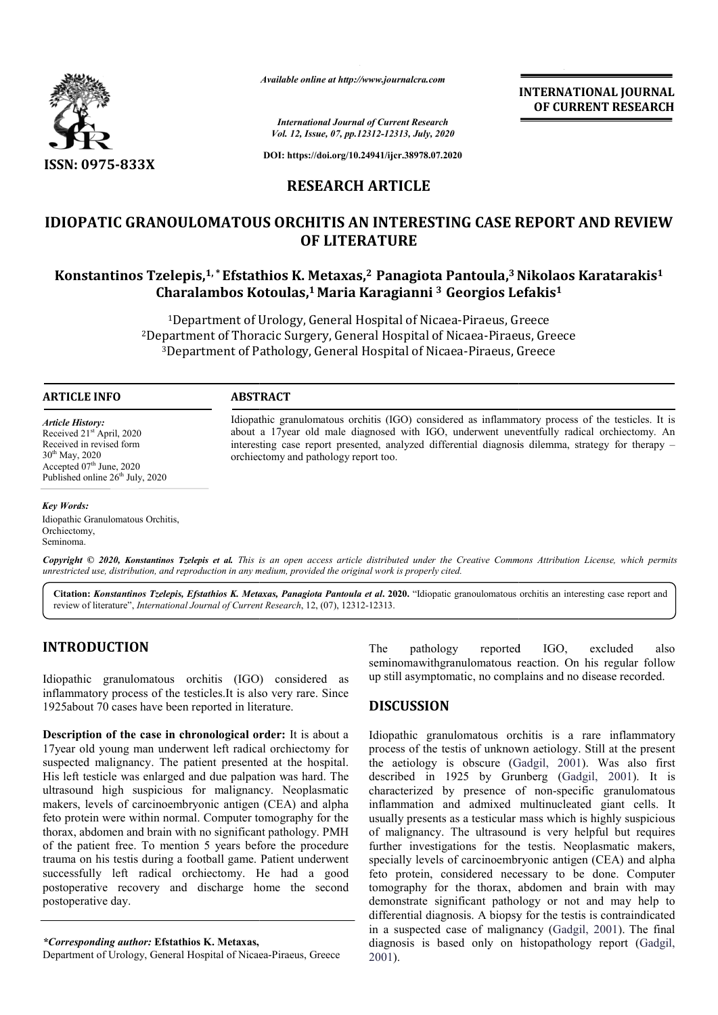

*Available online at http://www.journalcra.com*

**INTERNATIONAL JOURNAL OF CURRENT RESEARCH**

*International Journal of Current Research Vol. 12, Issue, 07, pp.12312-12313, July, 2020*

**DOI: https://doi.org/10.24941/ijcr.38978.07.2020**

### **RESEARCH ARTICLE**

## **IDIOPATIC GRANOULOMATOUS ORCHITIS AN INTERESTING CASE REPORT AND REVIEW Konstantinos Tzelepis,1, \*Efstathios K. Metaxas, Efstathios Metaxas,2 Panagiota Pantoula,3 Nikolaos Karatarakis GRANOULOMATOUS ORCHITIS Karatarakis1 OF LITERATURE**

# **Charalambos Kotoulas, Kotoulas,1 Maria Karagianni 3 Georgios Lefakis Georgios Lefakis1**

<sup>1</sup>Department of Urology, General Hospital of Nicaea-Piraeus, Greece <sup>2</sup>Department of Thoracic Surgery, General Hospital of Nicaea-Piraeus, Greece <sup>3</sup>Department of Pathology, General Hospital of Nicaea-Piraeus, Greece Piraeus, Greece<br>:aea-Piraeus, Greece<br>|-Piraeus, Greece

#### **ARTICLE INFO ABSTRACT**

*Article History:* Received 21<sup>st</sup> April, 2020 Received in revised form 30th May, 2020 Accepted 07<sup>th</sup> June, 2020 Published online  $26<sup>th</sup>$  July, 2020

Idiopathic granulomatous orchitis (IGO) considered as inflammatory process of the testicles. It is about a 17year old male diagnosed with IGO, underwent uneventfully radical orchiectomy. An interesting case report presented, analyzed differential diagnosis dilemma, strategy for therapy orchiectomy and pathology report too. Idiopathic granulomatous orchitis (IGO) considered as inflammatory process of the testicles. It is<br>about a 17year old male diagnosed with IGO, underwent uneventfully radical orchiectomy. An<br>interesting case report presente

#### *Key Words:*

Idiopathic Granulomatous Orchitis, Orchiectomy, Seminoma.

**Copyright** © 2020, Konstantinos Tzelepis et al. This is an open access article distributed under the Creative Commons Attribution License, which permits *unrestricted use, distribution, and reproduction in any medium, provided the original work is properly cited.*

Citation: Konstantinos Tzelepis, Efstathios K. Metaxas, Panagiota Pantoula et al. 2020. "Idiopatic granoulomatous orchitis an interesting case report and review of literature", *International Journal of Current Research*, 12, (07), 12312-12313.

#### **INTRODUCTION**

Idiopathic granulomatous orchitis (IGO) considered as inflammatory process of the testicles.It is also very rare. Since 1925about 70 cases have been reported in literature.

**Description of the case in chronological order:**  It is about a 17year old young man underwent left radical orchiectomy for suspected malignancy. The patient presented at the hospital. His left testicle was enlarged and due palpation was hard. The ultrasound high suspicious for malignancy. Neoplasmatic makers, levels of carcinoembryonic antigen (CEA) and alpha feto protein were within normal. Computer tomography for the thorax, abdomen and brain with no significant pathology. PMH of the patient free. To mention 5 years before the procedure trauma on his testis during a football game. Patient underwent successfully left radical orchiectomy. He had a good postoperative recovery and discharge home the second postoperative day. f carcinoembryonic antigen (CEA) and alple within normal. Computer tomography for the and brain with no significant pathology. PM ee. To mention 5 years before the procedustis during a football game. Patient underwe at rad

*\*Corresponding author:* **Efstathios K. Metaxas,** 

Department of Urology, General Hospital of Nicaea-Piraeus, Greece

The pathology reported IGO, excluded also seminomawithgranulomatous reaction. On his regular follow up still asymptomatic, no complains and no disease recorded. The pathology reported IGO, excluded also<br>seminomawithgranulomatous reaction. On his regular follow<br>up still asymptomatic, no complains and no disease recorded.<br>**DISCUSSION**<br>Idiopathic granulomatous orchitis is a rare infl

#### **DISCUSSION**

Idiopathic granulomatous orchitis is a rare inflammatory process of the testis of unknown aetiology. Still at the present the aetiology is obscure (Gadgil, 2001). Was also first described in 1925 by Grunberg ( (Gadgil, 2001). It is characterized by presence of non-specific granulomatous inflammation and admixed multinucleated giant cells. It usually presents as a testicular mass which is highly suspicious of malignancy. The ultrasound is very helpful but requires usually presents as a testicular mass which is highly suspicious<br>of malignancy. The ultrasound is very helpful but requires<br>further investigations for the testis. Neoplasmatic makers, specially levels of carcinoembryonic antigen (CEA) and alpha specially levels of carcinoembryonic antigen (CEA) and alpha<br>feto protein, considered necessary to be done. Computer tomography for the thorax, abdomen and brain with may demonstrate significant pathology or not and may help to differential diagnosis. A biopsy for the testis is contraindicated tomography for the thorax, abdomen and brain with may demonstrate significant pathology or not and may help to differential diagnosis. A biopsy for the testis is contraindicated in a suspected case of malignancy (Gadgil, 2 diagnosis is based only on histopathology report (Gadgil, 2001).